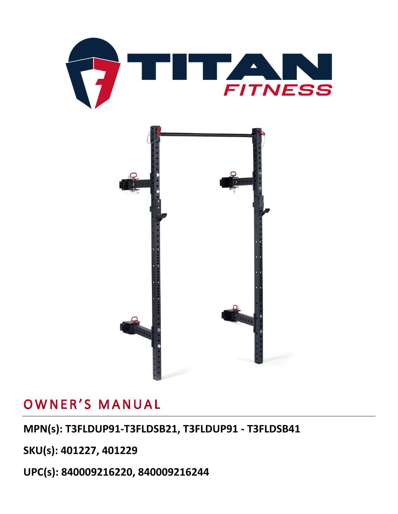



## OWNER'S MANUAL

## **MPN(s): T3FLDUP91-T3FLDSB21, T3FLDUP91 - T3FLDSB41**

**SKU(s): 401227, 401229**

**UPC(s): 840009216220, 840009216244**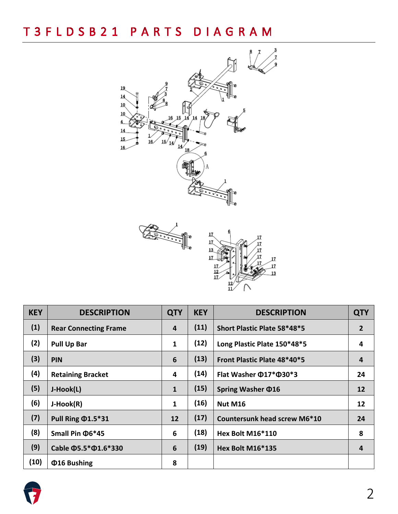



| <b>KEY</b> | <b>DESCRIPTION</b>               | <b>QTY</b>   | <b>KEY</b> | <b>DESCRIPTION</b>           | <b>QTY</b>     |
|------------|----------------------------------|--------------|------------|------------------------------|----------------|
| (1)        | <b>Rear Connecting Frame</b>     | 4            | (11)       | Short Plastic Plate 58*48*5  | $\overline{2}$ |
| (2)        | <b>Pull Up Bar</b>               | $\mathbf{1}$ | (12)       | Long Plastic Plate 150*48*5  | 4              |
| (3)        | PIN                              | 6            | (13)       | Front Plastic Plate 48*40*5  | 4              |
| (4)        | <b>Retaining Bracket</b>         | 4            | (14)       | Flat Washer Ф17*Ф30*3        | 24             |
| (5)        | J-Hook(L)                        | $\mathbf{1}$ | (15)       | Spring Washer $\Phi$ 16      | 12             |
| (6)        | J-Hook(R)                        | $\mathbf{1}$ | (16)       | Nut M16                      | 12             |
| (7)        | Pull Ring $\Phi$ 1.5*31          | 12           | (17)       | Countersunk head screw M6*10 | 24             |
| (8)        | Small Pin $\Phi$ 6*45            | 6            | (18)       | Hex Bolt M16*110             | 8              |
| (9)        | Cable $\Phi$ 5.5* $\Phi$ 1.6*330 | 6            | (19)       | Hex Bolt M16*135             | 4              |
| (10)       | <b>Φ16 Bushing</b>               | 8            |            |                              |                |

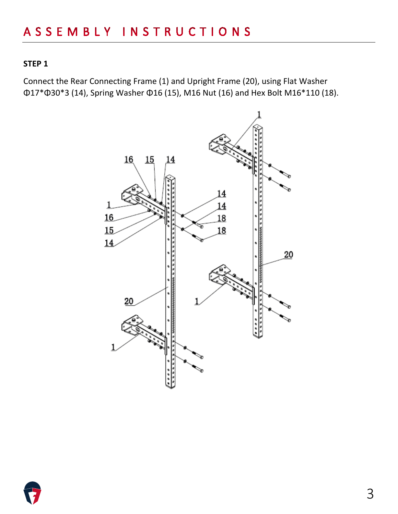Connect the Rear Connecting Frame (1) and Upright Frame (20), using Flat Washer Φ17\*Φ30\*3 (14), Spring Washer Φ16 (15), M16 Nut (16) and Hex Bolt M16\*110 (18).



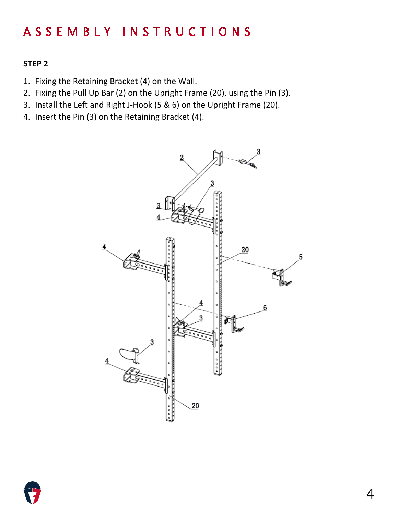- 1. Fixing the Retaining Bracket (4) on the Wall.
- 2. Fixing the Pull Up Bar (2) on the Upright Frame (20), using the Pin (3).
- 3. Install the Left and Right J-Hook (5 & 6) on the Upright Frame (20).
- 4. Insert the Pin (3) on the Retaining Bracket (4).



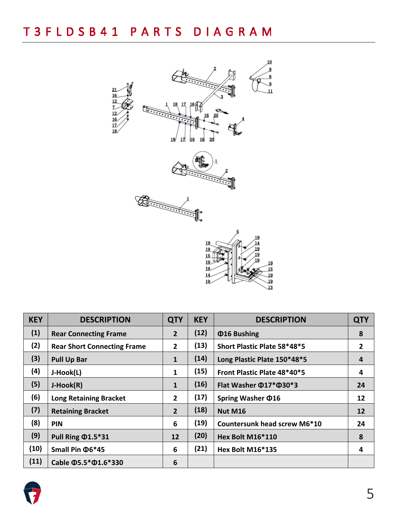

| <b>KEY</b> | <b>DESCRIPTION</b>                 | <b>QTY</b>      | <b>KEY</b> | <b>DESCRIPTION</b>                 | <b>QTY</b>     |
|------------|------------------------------------|-----------------|------------|------------------------------------|----------------|
| (1)        | <b>Rear Connecting Frame</b>       | $\overline{2}$  | (12)       | <b>Φ16 Bushing</b>                 | 8              |
| (2)        | <b>Rear Short Connecting Frame</b> | $\overline{2}$  | (13)       | Short Plastic Plate 58*48*5        | $\overline{2}$ |
| (3)        | <b>Pull Up Bar</b>                 | $\mathbf{1}$    | (14)       | Long Plastic Plate 150*48*5        | 4              |
| (4)        | J-Hook(L)                          | 1               | (15)       | Front Plastic Plate 48*40*5        | 4              |
| (5)        | J-Hook(R)                          | $\mathbf{1}$    | (16)       | Flat Washer $\Phi$ 17* $\Phi$ 30*3 | 24             |
| (6)        | <b>Long Retaining Bracket</b>      | $\overline{2}$  | (17)       | Spring Washer $\Phi$ 16            | 12             |
| (7)        | <b>Retaining Bracket</b>           | $\overline{2}$  | (18)       | <b>Nut M16</b>                     | 12             |
| (8)        | <b>PIN</b>                         | 6               | (19)       | Countersunk head screw M6*10       | 24             |
| (9)        | Pull Ring $\Phi$ 1.5*31            | 12              | (20)       | Hex Bolt M16*110                   | 8              |
| (10)       | Small Pin $\Phi$ 6*45              | 6               | (21)       | <b>Hex Bolt M16*135</b>            | 4              |
| (11)       | Cable $\Phi$ 5.5* $\Phi$ 1.6*330   | $6\phantom{1}6$ |            |                                    |                |

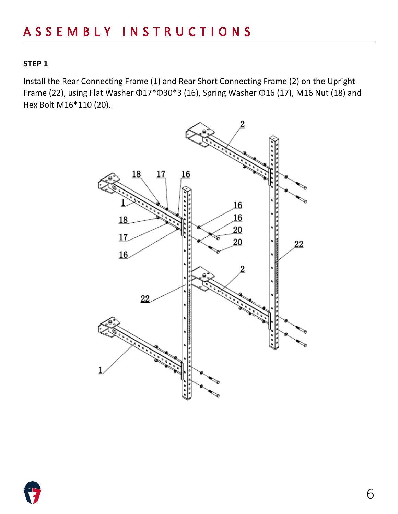Install the Rear Connecting Frame (1) and Rear Short Connecting Frame (2) on the Upright Frame (22), using Flat Washer Φ17\*Φ30\*3 (16), Spring Washer Φ16 (17), M16 Nut (18) and Hex Bolt M16\*110 (20).



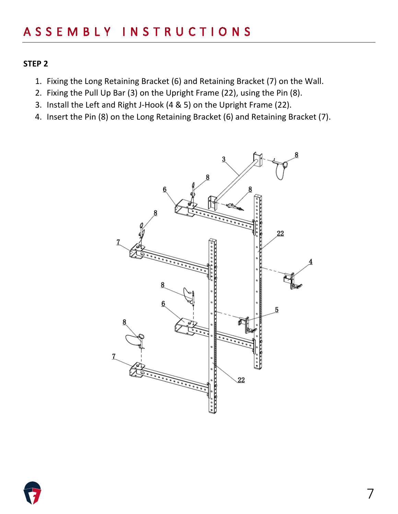- 1. Fixing the Long Retaining Bracket (6) and Retaining Bracket (7) on the Wall.
- 2. Fixing the Pull Up Bar (3) on the Upright Frame (22), using the Pin (8).
- 3. Install the Left and Right J-Hook (4 & 5) on the Upright Frame (22).
- 4. Insert the Pin (8) on the Long Retaining Bracket (6) and Retaining Bracket (7).